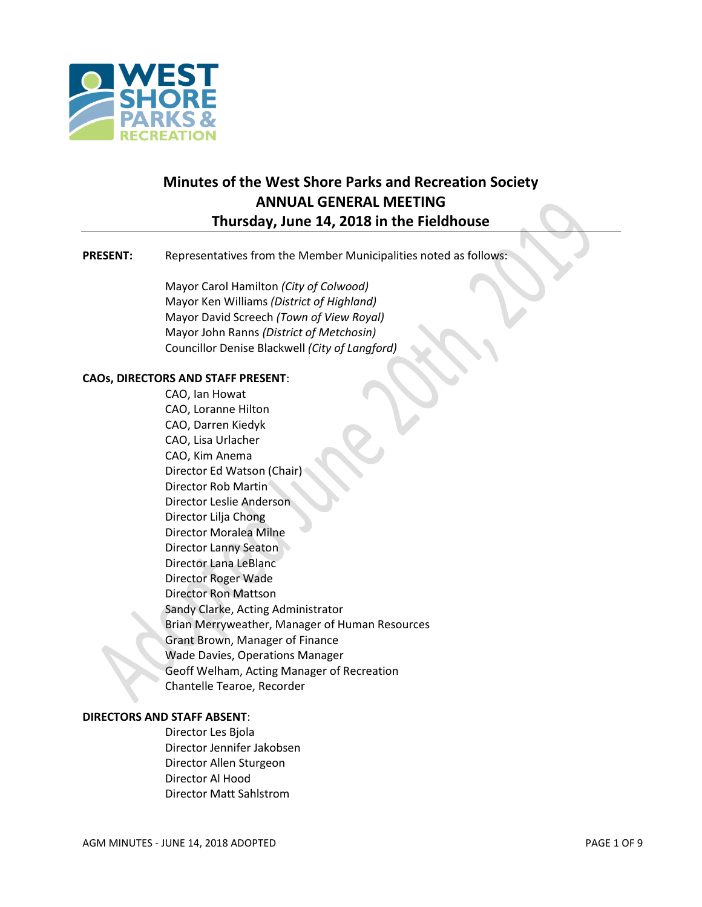

# **Minutes of the West Shore Parks and Recreation Society ANNUAL GENERAL MEETING Thursday, June 14, 2018 in the Fieldhouse**

#### **PRESENT:** Representatives from the Member Municipalities noted as follows:

Mayor Carol Hamilton *(City of Colwood)* Mayor Ken Williams *(District of Highland)* Mayor David Screech *(Town of View Royal)* Mayor John Ranns *(District of Metchosin)* Councillor Denise Blackwell *(City of Langford)*

# **CAOs, DIRECTORS AND STAFF PRESENT**:

CAO, Ian Howat CAO, Loranne Hilton CAO, Darren Kiedyk CAO, Lisa Urlacher CAO, Kim Anema Director Ed Watson (Chair) Director Rob Martin Director Leslie Anderson Director Lilja Chong Director Moralea Milne Director Lanny Seaton Director Lana LeBlanc Director Roger Wade Director Ron Mattson Sandy Clarke, Acting Administrator Brian Merryweather, Manager of Human Resources Grant Brown, Manager of Finance Wade Davies, Operations Manager Geoff Welham, Acting Manager of Recreation Chantelle Tearoe, Recorder

#### **DIRECTORS AND STAFF ABSENT**:

Director Les Bjola Director Jennifer Jakobsen Director Allen Sturgeon Director Al Hood Director Matt Sahlstrom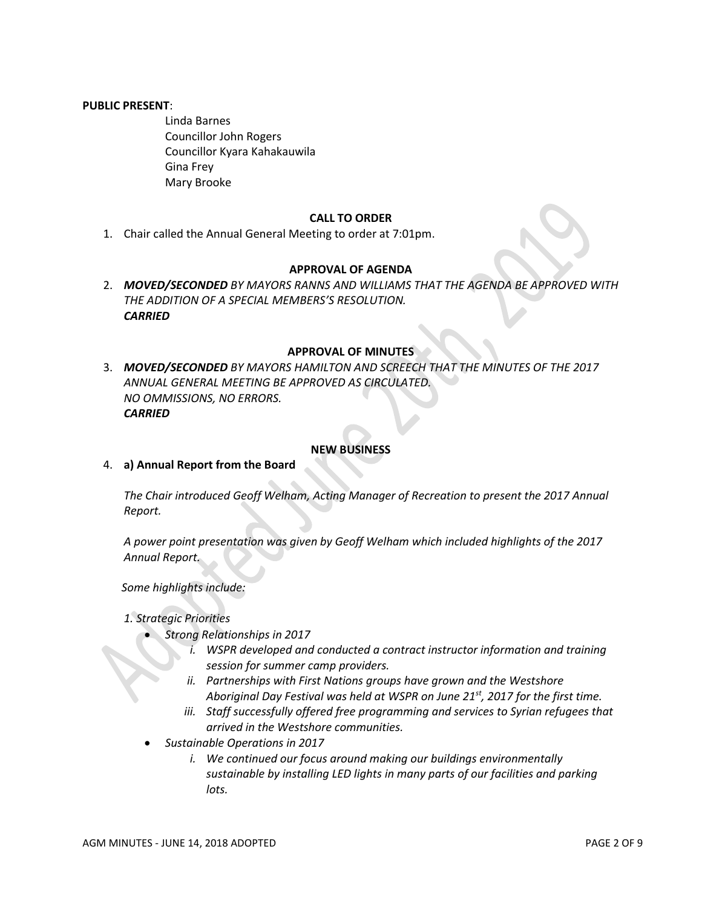#### **PUBLIC PRESENT**:

Linda Barnes Councillor John Rogers Councillor Kyara Kahakauwila Gina Frey Mary Brooke

#### **CALL TO ORDER**

1. Chair called the Annual General Meeting to order at 7:01pm.

# **APPROVAL OF AGENDA**

2. *MOVED/SECONDED BY MAYORS RANNS AND WILLIAMS THAT THE AGENDA BE APPROVED WITH THE ADDITION OF A SPECIAL MEMBERS'S RESOLUTION. CARRIED*

### **APPROVAL OF MINUTES**

3. *MOVED/SECONDED BY MAYORS HAMILTON AND SCREECH THAT THE MINUTES OF THE 2017 ANNUAL GENERAL MEETING BE APPROVED AS CIRCULATED. NO OMMISSIONS, NO ERRORS. CARRIED*

#### **NEW BUSINESS**

4. **a) Annual Report from the Board**

*The Chair introduced Geoff Welham, Acting Manager of Recreation to present the 2017 Annual Report.*

*A power point presentation was given by Geoff Welham which included highlights of the 2017 Annual Report.*

*Some highlights include:*

#### *1. Strategic Priorities*

- *Strong Relationships in 2017*
	- *i. WSPR developed and conducted a contract instructor information and training session for summer camp providers.*
	- *ii. Partnerships with First Nations groups have grown and the Westshore Aboriginal Day Festival was held at WSPR on June 21st, 2017 for the first time.*
	- *iii. Staff successfully offered free programming and services to Syrian refugees that arrived in the Westshore communities.*
- *Sustainable Operations in 2017*
	- *i. We continued our focus around making our buildings environmentally sustainable by installing LED lights in many parts of our facilities and parking lots.*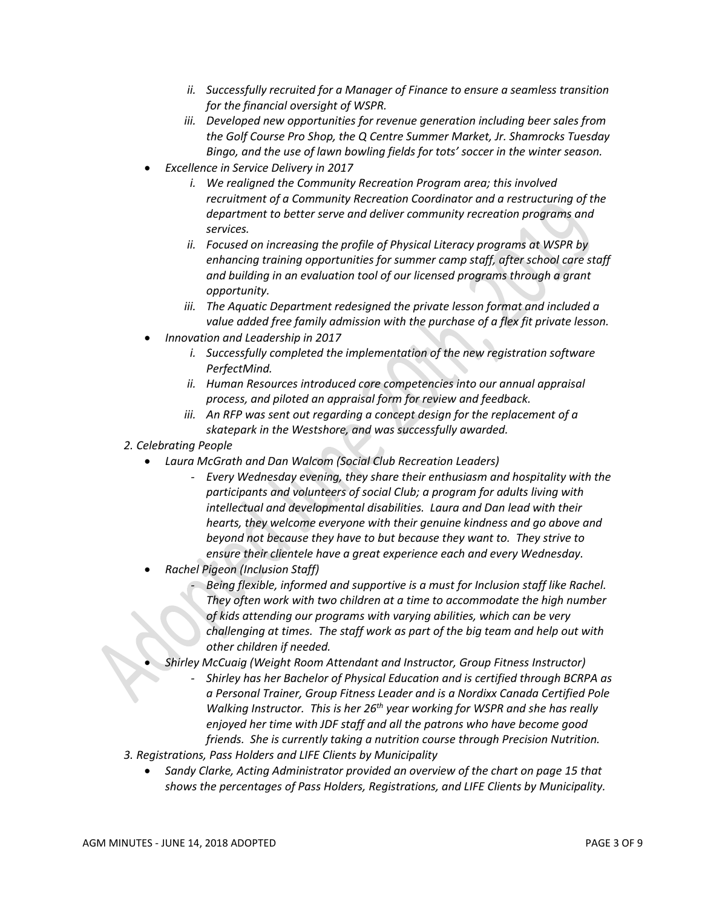- *ii. Successfully recruited for a Manager of Finance to ensure a seamless transition for the financial oversight of WSPR.*
- *iii. Developed new opportunities for revenue generation including beer sales from the Golf Course Pro Shop, the Q Centre Summer Market, Jr. Shamrocks Tuesday Bingo, and the use of lawn bowling fields for tots' soccer in the winter season.*
- *Excellence in Service Delivery in 2017*
	- *i. We realigned the Community Recreation Program area; this involved recruitment of a Community Recreation Coordinator and a restructuring of the department to better serve and deliver community recreation programs and services.*
	- *ii. Focused on increasing the profile of Physical Literacy programs at WSPR by enhancing training opportunities for summer camp staff, after school care staff and building in an evaluation tool of our licensed programs through a grant opportunity.*
	- *iii. The Aquatic Department redesigned the private lesson format and included a value added free family admission with the purchase of a flex fit private lesson.*
- *Innovation and Leadership in 2017*
	- *i. Successfully completed the implementation of the new registration software PerfectMind.*
	- *ii. Human Resources introduced core competencies into our annual appraisal process, and piloted an appraisal form for review and feedback.*
	- *iii. An RFP was sent out regarding a concept design for the replacement of a skatepark in the Westshore, and was successfully awarded.*
- *2. Celebrating People*
	- *Laura McGrath and Dan Walcom (Social Club Recreation Leaders)*
		- *Every Wednesday evening, they share their enthusiasm and hospitality with the participants and volunteers of social Club; a program for adults living with intellectual and developmental disabilities. Laura and Dan lead with their hearts, they welcome everyone with their genuine kindness and go above and beyond not because they have to but because they want to. They strive to ensure their clientele have a great experience each and every Wednesday.*
	- *Rachel Pigeon (Inclusion Staff)*
		- *- Being flexible, informed and supportive is a must for Inclusion staff like Rachel. They often work with two children at a time to accommodate the high number of kids attending our programs with varying abilities, which can be very challenging at times. The staff work as part of the big team and help out with other children if needed.*
		- *Shirley McCuaig (Weight Room Attendant and Instructor, Group Fitness Instructor)*
			- *- Shirley has her Bachelor of Physical Education and is certified through BCRPA as a Personal Trainer, Group Fitness Leader and is a Nordixx Canada Certified Pole*  Walking Instructor. This is her 26<sup>th</sup> year working for WSPR and she has really *enjoyed her time with JDF staff and all the patrons who have become good friends. She is currently taking a nutrition course through Precision Nutrition.*
- *3. Registrations, Pass Holders and LIFE Clients by Municipality*
	- *Sandy Clarke, Acting Administrator provided an overview of the chart on page 15 that shows the percentages of Pass Holders, Registrations, and LIFE Clients by Municipality.*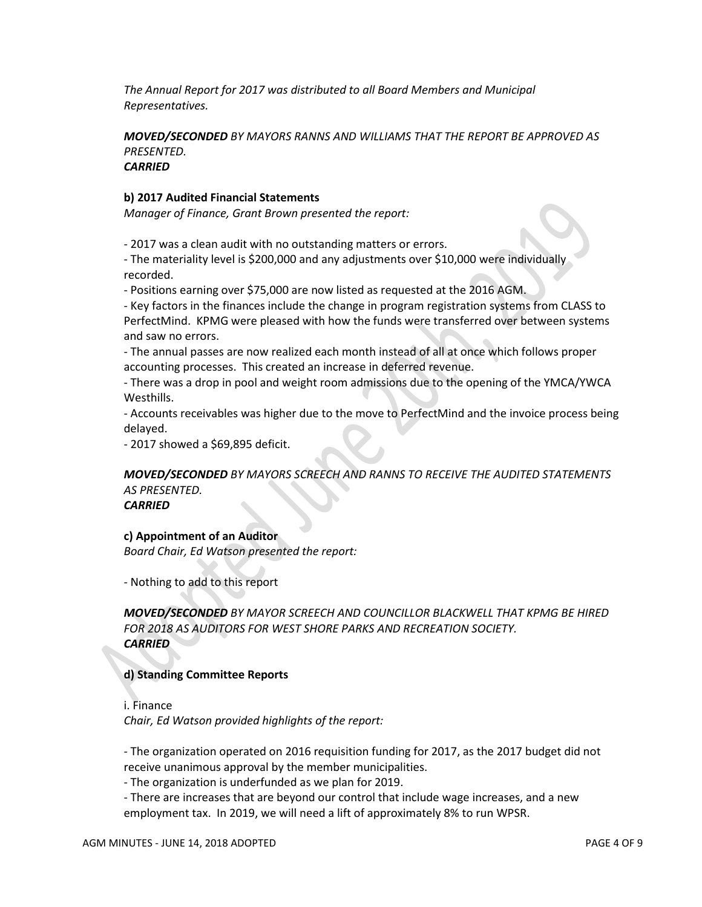*The Annual Report for 2017 was distributed to all Board Members and Municipal Representatives.*

*MOVED/SECONDED BY MAYORS RANNS AND WILLIAMS THAT THE REPORT BE APPROVED AS PRESENTED. CARRIED*

#### **b) 2017 Audited Financial Statements**

*Manager of Finance, Grant Brown presented the report:*

- 2017 was a clean audit with no outstanding matters or errors.

- The materiality level is \$200,000 and any adjustments over \$10,000 were individually recorded.

- Positions earning over \$75,000 are now listed as requested at the 2016 AGM.

- Key factors in the finances include the change in program registration systems from CLASS to PerfectMind. KPMG were pleased with how the funds were transferred over between systems and saw no errors.

- The annual passes are now realized each month instead of all at once which follows proper accounting processes. This created an increase in deferred revenue.

- There was a drop in pool and weight room admissions due to the opening of the YMCA/YWCA Westhills.

- Accounts receivables was higher due to the move to PerfectMind and the invoice process being delayed.

- 2017 showed a \$69,895 deficit.

# *MOVED/SECONDED BY MAYORS SCREECH AND RANNS TO RECEIVE THE AUDITED STATEMENTS AS PRESENTED.*

*CARRIED*

#### **c) Appointment of an Auditor**

*Board Chair, Ed Watson presented the report:*

- Nothing to add to this report

*MOVED/SECONDED BY MAYOR SCREECH AND COUNCILLOR BLACKWELL THAT KPMG BE HIRED FOR 2018 AS AUDITORS FOR WEST SHORE PARKS AND RECREATION SOCIETY. CARRIED*

#### **d) Standing Committee Reports**

i. Finance *Chair, Ed Watson provided highlights of the report:*

- The organization operated on 2016 requisition funding for 2017, as the 2017 budget did not receive unanimous approval by the member municipalities.

- The organization is underfunded as we plan for 2019.

- There are increases that are beyond our control that include wage increases, and a new employment tax. In 2019, we will need a lift of approximately 8% to run WPSR.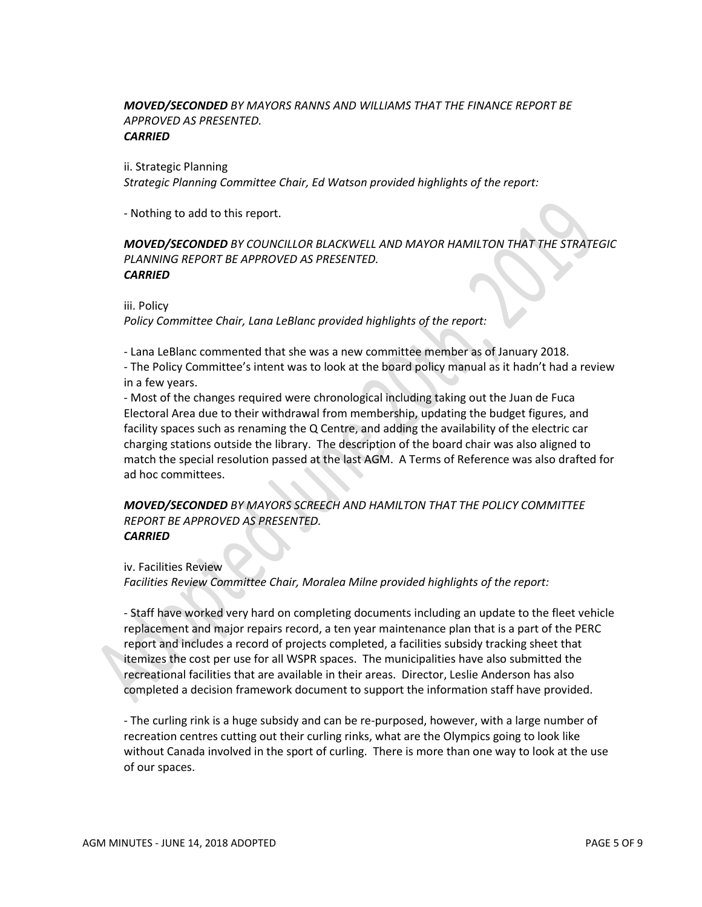#### *MOVED/SECONDED BY MAYORS RANNS AND WILLIAMS THAT THE FINANCE REPORT BE APPROVED AS PRESENTED. CARRIED*

ii. Strategic Planning *Strategic Planning Committee Chair, Ed Watson provided highlights of the report:*

- Nothing to add to this report.

#### *MOVED/SECONDED BY COUNCILLOR BLACKWELL AND MAYOR HAMILTON THAT THE STRATEGIC PLANNING REPORT BE APPROVED AS PRESENTED. CARRIED*

iii. Policy

*Policy Committee Chair, Lana LeBlanc provided highlights of the report:*

- Lana LeBlanc commented that she was a new committee member as of January 2018.

- The Policy Committee's intent was to look at the board policy manual as it hadn't had a review in a few years.

- Most of the changes required were chronological including taking out the Juan de Fuca Electoral Area due to their withdrawal from membership, updating the budget figures, and facility spaces such as renaming the Q Centre, and adding the availability of the electric car charging stations outside the library. The description of the board chair was also aligned to match the special resolution passed at the last AGM. A Terms of Reference was also drafted for ad hoc committees.

#### *MOVED/SECONDED BY MAYORS SCREECH AND HAMILTON THAT THE POLICY COMMITTEE REPORT BE APPROVED AS PRESENTED. CARRIED*

iv. Facilities Review *Facilities Review Committee Chair, Moralea Milne provided highlights of the report:*

- Staff have worked very hard on completing documents including an update to the fleet vehicle replacement and major repairs record, a ten year maintenance plan that is a part of the PERC report and includes a record of projects completed, a facilities subsidy tracking sheet that itemizes the cost per use for all WSPR spaces. The municipalities have also submitted the recreational facilities that are available in their areas. Director, Leslie Anderson has also completed a decision framework document to support the information staff have provided.

- The curling rink is a huge subsidy and can be re-purposed, however, with a large number of recreation centres cutting out their curling rinks, what are the Olympics going to look like without Canada involved in the sport of curling. There is more than one way to look at the use of our spaces.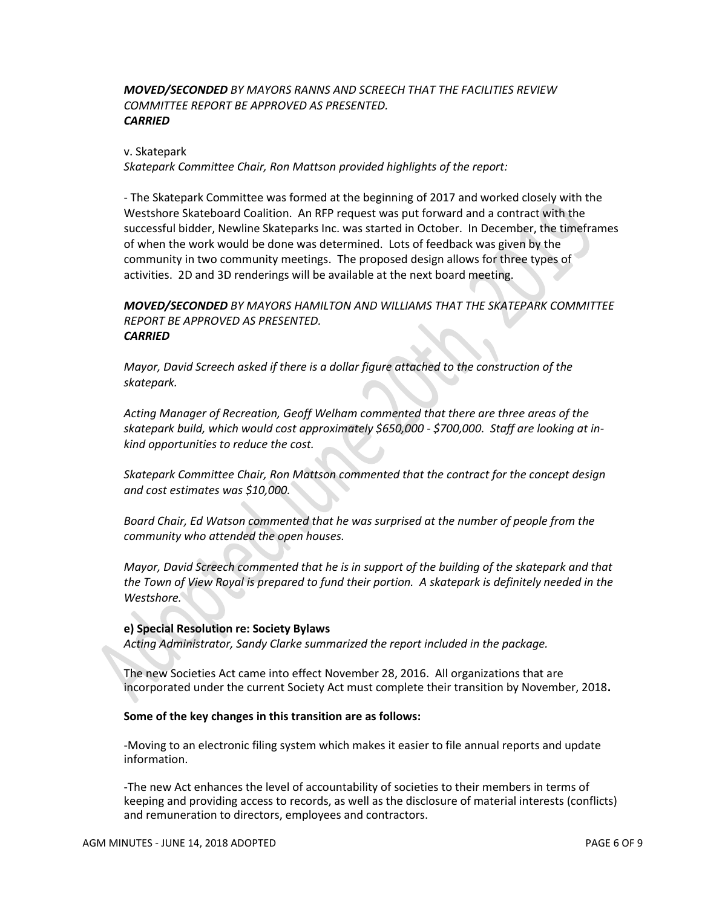# *MOVED/SECONDED BY MAYORS RANNS AND SCREECH THAT THE FACILITIES REVIEW COMMITTEE REPORT BE APPROVED AS PRESENTED. CARRIED*

#### v. Skatepark

*Skatepark Committee Chair, Ron Mattson provided highlights of the report:*

- The Skatepark Committee was formed at the beginning of 2017 and worked closely with the Westshore Skateboard Coalition. An RFP request was put forward and a contract with the successful bidder, Newline Skateparks Inc. was started in October. In December, the timeframes of when the work would be done was determined. Lots of feedback was given by the community in two community meetings. The proposed design allows for three types of activities. 2D and 3D renderings will be available at the next board meeting.

*MOVED/SECONDED BY MAYORS HAMILTON AND WILLIAMS THAT THE SKATEPARK COMMITTEE REPORT BE APPROVED AS PRESENTED. CARRIED*

*Mayor, David Screech asked if there is a dollar figure attached to the construction of the skatepark.*

*Acting Manager of Recreation, Geoff Welham commented that there are three areas of the skatepark build, which would cost approximately \$650,000 - \$700,000. Staff are looking at inkind opportunities to reduce the cost.* 

*Skatepark Committee Chair, Ron Mattson commented that the contract for the concept design and cost estimates was \$10,000.*

*Board Chair, Ed Watson commented that he was surprised at the number of people from the community who attended the open houses.*

*Mayor, David Screech commented that he is in support of the building of the skatepark and that the Town of View Royal is prepared to fund their portion. A skatepark is definitely needed in the Westshore.*

#### **e) Special Resolution re: Society Bylaws**

*Acting Administrator, Sandy Clarke summarized the report included in the package.*

The new Societies Act came into effect November 28, 2016. All organizations that are incorporated under the current Society Act must complete their transition by November, 2018**.**

#### **Some of the key changes in this transition are as follows:**

-Moving to an electronic filing system which makes it easier to file annual reports and update information.

-The new Act enhances the level of accountability of societies to their members in terms of keeping and providing access to records, as well as the disclosure of material interests (conflicts) and remuneration to directors, employees and contractors.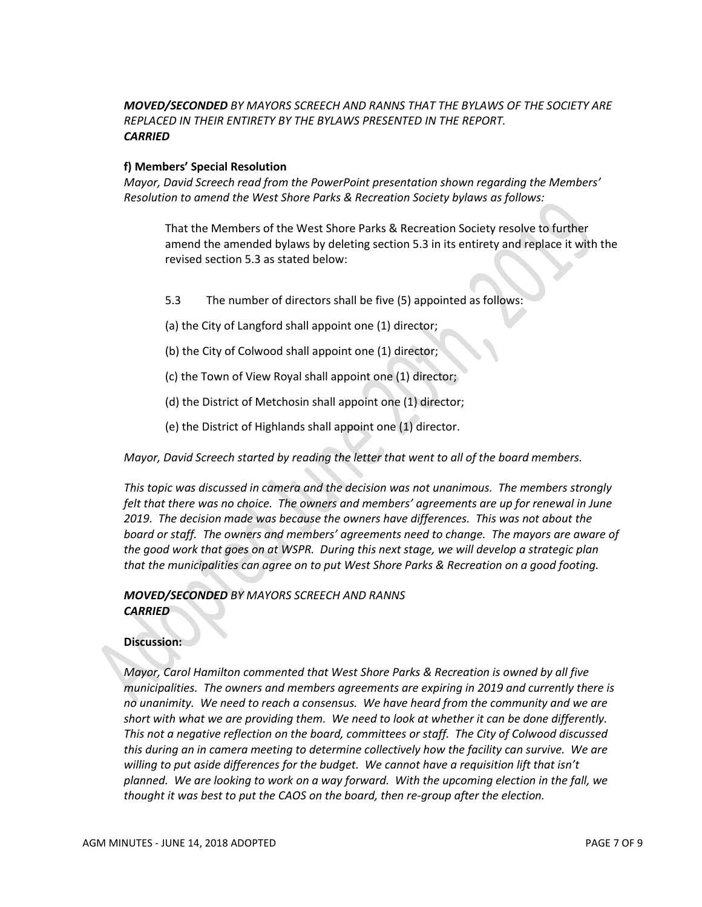# *MOVED/SECONDED BY MAYORS SCREECH AND RANNS THAT THE BYLAWS OF THE SOCIETY ARE REPLACED IN THEIR ENTIRETY BY THE BYLAWS PRESENTED IN THE REPORT. CARRIED*

#### **f) Members' Special Resolution**

*Mayor, David Screech read from the PowerPoint presentation shown regarding the Members' Resolution to amend the West Shore Parks & Recreation Society bylaws as follows:*

That the Members of the West Shore Parks & Recreation Society resolve to further amend the amended bylaws by deleting section 5.3 in its entirety and replace it with the revised section 5.3 as stated below:

- 5.3 The number of directors shall be five (5) appointed as follows:
- (a) the City of Langford shall appoint one (1) director;
- (b) the City of Colwood shall appoint one (1) director;
- (c) the Town of View Royal shall appoint one (1) director;
- (d) the District of Metchosin shall appoint one (1) director;
- (e) the District of Highlands shall appoint one (1) director.

*Mayor, David Screech started by reading the letter that went to all of the board members.*

*This topic was discussed in camera and the decision was not unanimous. The members strongly felt that there was no choice. The owners and members' agreements are up for renewal in June 2019. The decision made was because the owners have differences. This was not about the board or staff. The owners and members' agreements need to change. The mayors are aware of the good work that goes on at WSPR. During this next stage, we will develop a strategic plan that the municipalities can agree on to put West Shore Parks & Recreation on a good footing.* 

# *MOVED/SECONDED BY MAYORS SCREECH AND RANNS CARRIED*

#### **Discussion:**

*Mayor, Carol Hamilton commented that West Shore Parks & Recreation is owned by all five municipalities. The owners and members agreements are expiring in 2019 and currently there is no unanimity. We need to reach a consensus. We have heard from the community and we are short with what we are providing them. We need to look at whether it can be done differently. This not a negative reflection on the board, committees or staff. The City of Colwood discussed this during an in camera meeting to determine collectively how the facility can survive. We are willing to put aside differences for the budget. We cannot have a requisition lift that isn't planned. We are looking to work on a way forward. With the upcoming election in the fall, we thought it was best to put the CAOS on the board, then re-group after the election.*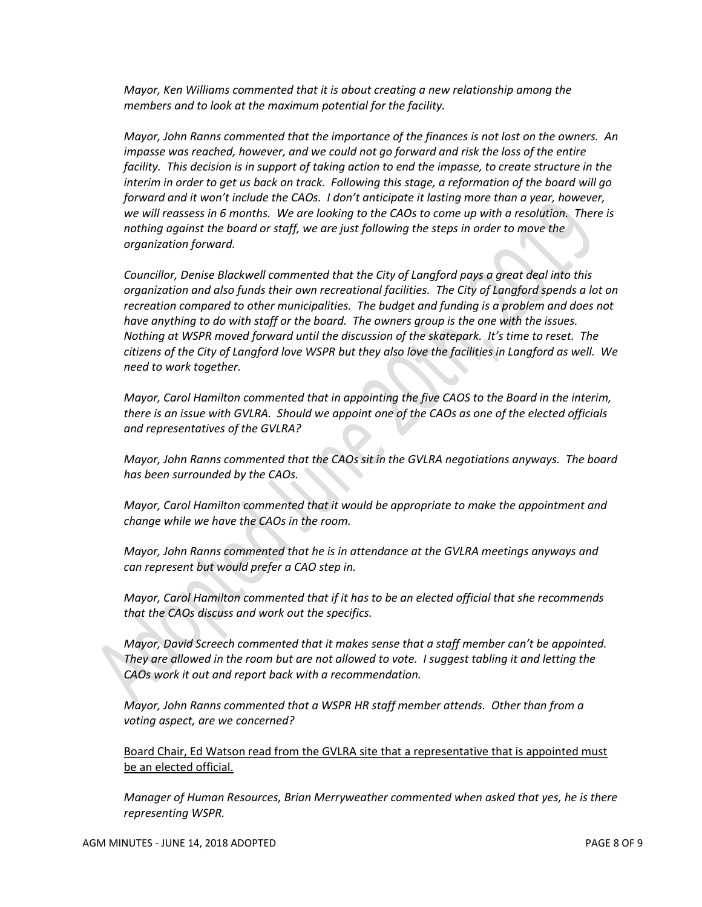*Mayor, Ken Williams commented that it is about creating a new relationship among the members and to look at the maximum potential for the facility.* 

*Mayor, John Ranns commented that the importance of the finances is not lost on the owners. An impasse was reached, however, and we could not go forward and risk the loss of the entire facility. This decision is in support of taking action to end the impasse, to create structure in the interim in order to get us back on track. Following this stage, a reformation of the board will go forward and it won't include the CAOs. I don't anticipate it lasting more than a year, however, we will reassess in 6 months. We are looking to the CAOs to come up with a resolution. There is nothing against the board or staff, we are just following the steps in order to move the organization forward.*

*Councillor, Denise Blackwell commented that the City of Langford pays a great deal into this organization and also funds their own recreational facilities. The City of Langford spends a lot on recreation compared to other municipalities. The budget and funding is a problem and does not have anything to do with staff or the board. The owners group is the one with the issues. Nothing at WSPR moved forward until the discussion of the skatepark. It's time to reset. The citizens of the City of Langford love WSPR but they also love the facilities in Langford as well. We need to work together.*

*Mayor, Carol Hamilton commented that in appointing the five CAOS to the Board in the interim, there is an issue with GVLRA. Should we appoint one of the CAOs as one of the elected officials and representatives of the GVLRA?*

*Mayor, John Ranns commented that the CAOs sit in the GVLRA negotiations anyways. The board has been surrounded by the CAOs.* 

*Mayor, Carol Hamilton commented that it would be appropriate to make the appointment and change while we have the CAOs in the room.*

*Mayor, John Ranns commented that he is in attendance at the GVLRA meetings anyways and can represent but would prefer a CAO step in.*

*Mayor, Carol Hamilton commented that if it has to be an elected official that she recommends that the CAOs discuss and work out the specifics.*

*Mayor, David Screech commented that it makes sense that a staff member can't be appointed. They are allowed in the room but are not allowed to vote. I suggest tabling it and letting the CAOs work it out and report back with a recommendation.*

*Mayor, John Ranns commented that a WSPR HR staff member attends. Other than from a voting aspect, are we concerned?*

Board Chair, Ed Watson read from the GVLRA site that a representative that is appointed must be an elected official.

*Manager of Human Resources, Brian Merryweather commented when asked that yes, he is there representing WSPR.*